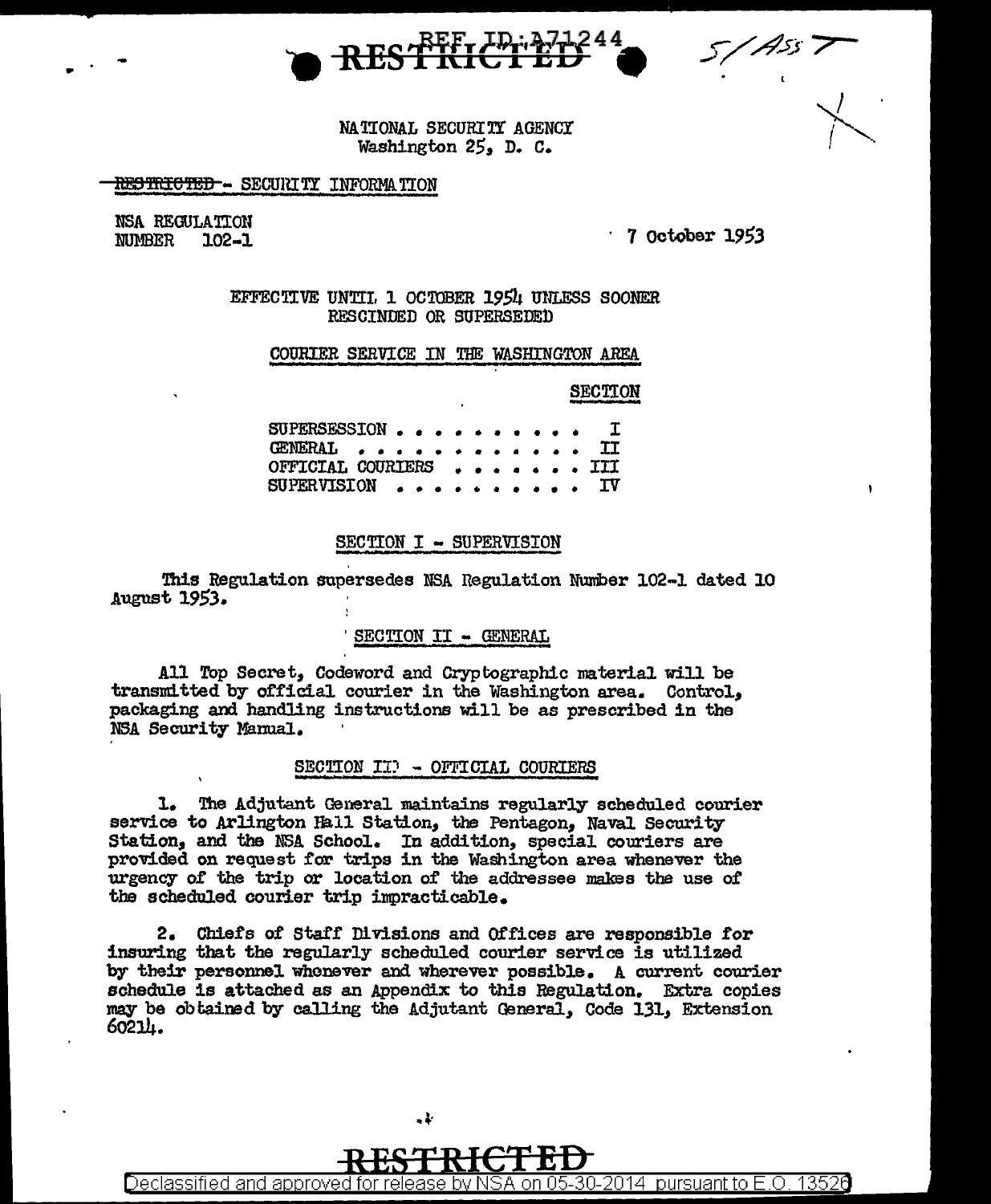

NATIONAL SECURITY AGENCY Washington 25, D. C.

## RESTRICTED - SECURITY INFORMATION

NSA REGULATION **NUMBER**  $102 - 1$ 

 $\cdot$  7 October 1953

EFFECTIVE UNTIL 1 OCTOBER 1954 UNLESS SOONER RESCINDED OR SUPERSEDED

## COURTER SERVICE IN THE WASHINGTON AREA

**SECTION** 

SUPERSESSION. Ï **GENERAL** TT OFFICIAL COURIERS TTT **SUPERVISION** IΔ

## SECTION I - SUPERVISION

This Regulation supersedes NSA Regulation Number 102-1 dated 10 August 1953.

## SECTION II - GENERAL

All Top Secret, Codeword and Cryptographic material will be transmitted by official courier in the Washington area. Control, packaging and handling instructions will be as prescribed in the NSA Security Manual.

## SECTION II) - OFFICIAL COURTERS

1. The Adjutant General maintains regularly scheduled courier service to Arlington Hall Station, the Pentagon, Naval Security Station, and the NSA School. In addition, special couriers are provided on request for trips in the Washington area whenever the urgency of the trip or location of the addressee makes the use of the scheduled courier trip impracticable.

2. Chiefs of Staff Divisions and Offices are responsible for insuring that the regularly scheduled courier service is utilized by their personnel whenever and wherever possible. A current courier schedule is attached as an Appendix to this Regulation. Extra copies may be obtained by calling the Adjutant General, Code 131, Extension 60214.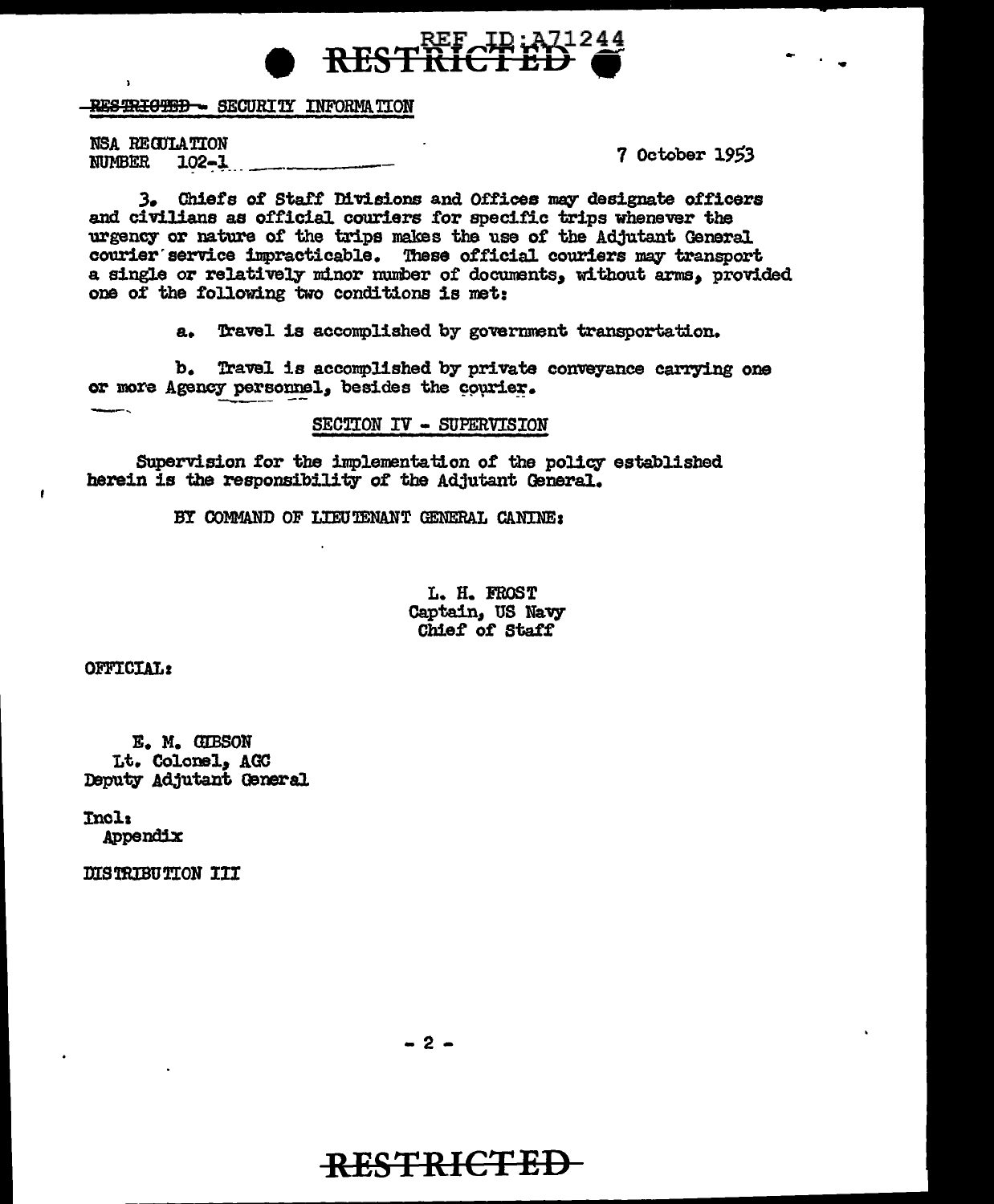

<del>RESTRIGTED -</del> SECURITY INFORMATION

NSA REGULATION **NUMBER**  $102 - 1$ 

7 October 1953

3. Chiefs of Staff Divisions and Offices may designate officers and civilians as official couriers for specific trips whenever the urgency or nature of the trips makes the use of the Adjutant General courier service impracticable. These official couriers may transport a single or relatively minor number of documents, without arms, provided one of the following two conditions is met:

> Travel is accomplished by government transportation. a.

b. Travel is accomplished by private conveyance carrying one or more Agency personnel, besides the courier.

SECTION IV - SUPERVISION

Supervision for the implementation of the policy established herein is the responsibility of the Adjutant General.

BY COMMAND OF LIEUTENANT GENERAL CANINE:

L. H. FROST Captain, US Navy Chief of Staff

OFFICIAL:

 $\cdot$ 

E. M. GIBSON Lt. Colonel, AGC Deputy Adjutant General

Incl: Appendix

DISTRIBUTION III

 $-2-$ 

# RESTRICTED